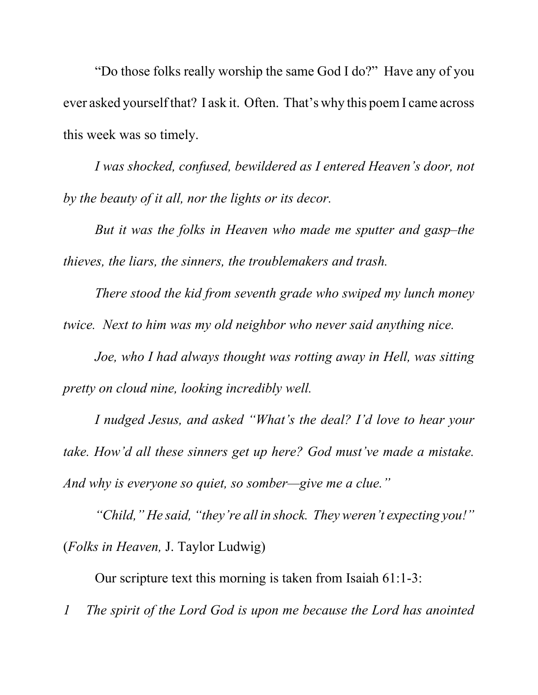"Do those folks really worship the same God I do?" Have any of you ever asked yourself that? I ask it. Often. That's why this poem I came across this week was so timely.

*I was shocked, confused, bewildered as I entered Heaven's door, not by the beauty of it all, nor the lights or its decor.*

*But it was the folks in Heaven who made me sputter and gasp–the thieves, the liars, the sinners, the troublemakers and trash.*

*There stood the kid from seventh grade who swiped my lunch money twice. Next to him was my old neighbor who never said anything nice.*

*Joe, who I had always thought was rotting away in Hell, was sitting pretty on cloud nine, looking incredibly well.*

*I nudged Jesus, and asked "What's the deal? I'd love to hear your take. How'd all these sinners get up here? God must've made a mistake. And why is everyone so quiet, so somber—give me a clue."* 

*"Child," He said, "they're all in shock. They weren't expecting you!"* (*Folks in Heaven,* J. Taylor Ludwig)

Our scripture text this morning is taken from Isaiah 61:1-3:

*1 The spirit of the Lord God is upon me because the Lord has anointed*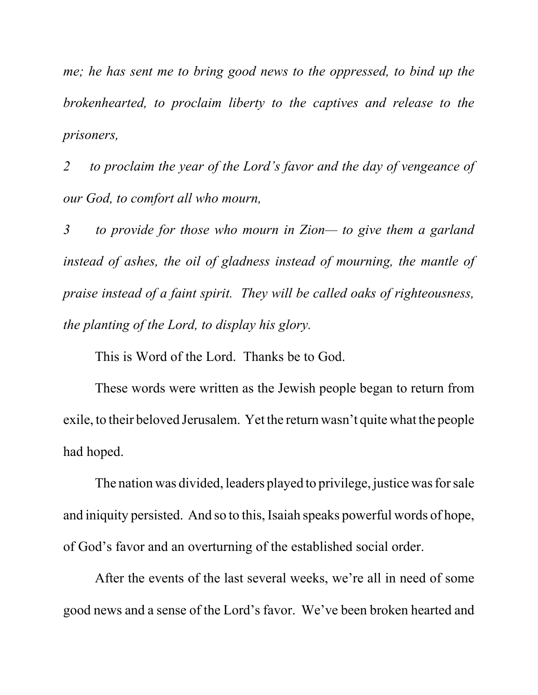*me; he has sent me to bring good news to the oppressed, to bind up the brokenhearted, to proclaim liberty to the captives and release to the prisoners,*

*2 to proclaim the year of the Lord's favor and the day of vengeance of our God, to comfort all who mourn,*

*3 to provide for those who mourn in Zion— to give them a garland instead of ashes, the oil of gladness instead of mourning, the mantle of praise instead of a faint spirit. They will be called oaks of righteousness, the planting of the Lord, to display his glory.* 

This is Word of the Lord. Thanks be to God.

These words were written as the Jewish people began to return from exile, to their beloved Jerusalem. Yet the return wasn't quite what the people had hoped.

The nation was divided, leaders played to privilege, justice was for sale and iniquity persisted. And so to this, Isaiah speaks powerful words of hope, of God's favor and an overturning of the established social order.

After the events of the last several weeks, we're all in need of some good news and a sense of the Lord's favor. We've been broken hearted and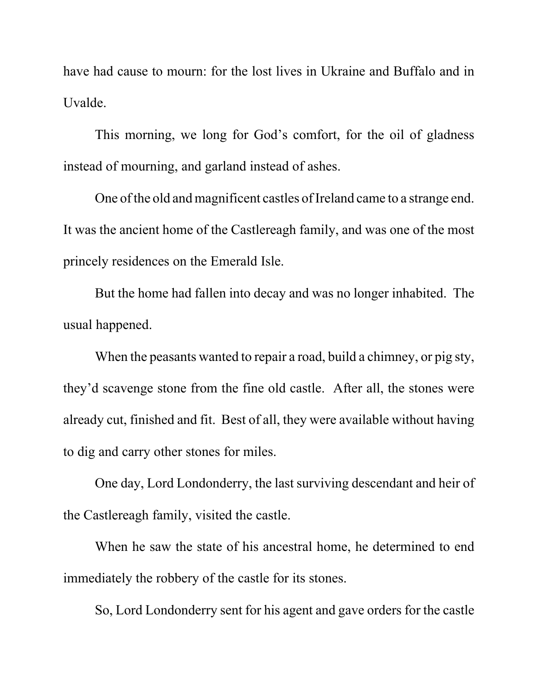have had cause to mourn: for the lost lives in Ukraine and Buffalo and in Uvalde.

This morning, we long for God's comfort, for the oil of gladness instead of mourning, and garland instead of ashes.

One of the old and magnificent castles of Ireland came to a strange end. It was the ancient home of the Castlereagh family, and was one of the most princely residences on the Emerald Isle.

But the home had fallen into decay and was no longer inhabited. The usual happened.

When the peasants wanted to repair a road, build a chimney, or pig sty, they'd scavenge stone from the fine old castle. After all, the stones were already cut, finished and fit. Best of all, they were available without having to dig and carry other stones for miles.

One day, Lord Londonderry, the last surviving descendant and heir of the Castlereagh family, visited the castle.

When he saw the state of his ancestral home, he determined to end immediately the robbery of the castle for its stones.

So, Lord Londonderry sent for his agent and gave orders for the castle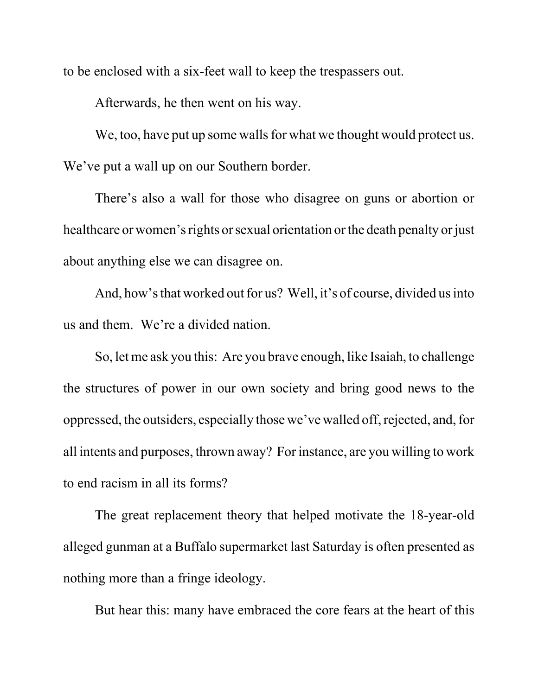to be enclosed with a six-feet wall to keep the trespassers out.

Afterwards, he then went on his way.

We, too, have put up some walls for what we thought would protect us. We've put a wall up on our Southern border.

There's also a wall for those who disagree on guns or abortion or healthcare or women's rights or sexual orientation or the death penalty or just about anything else we can disagree on.

And, how's that worked out for us? Well, it's of course, divided us into us and them. We're a divided nation.

So, let me ask you this: Are you brave enough, like Isaiah, to challenge the structures of power in our own society and bring good news to the oppressed, the outsiders, especially those we've walled off, rejected, and, for all intents and purposes, thrown away? For instance, are you willing to work to end racism in all its forms?

The great replacement theory that helped motivate the 18-year-old alleged gunman at a Buffalo supermarket last Saturday is often presented as nothing more than a fringe ideology.

But hear this: many have embraced the core fears at the heart of this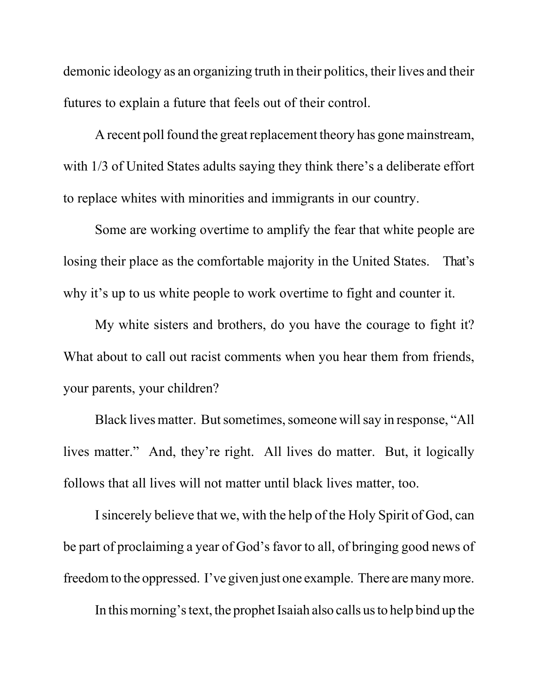demonic ideology as an organizing truth in their politics, their lives and their futures to explain a future that feels out of their control.

A recent poll found the great replacement theory has gone mainstream, with  $1/3$  of United States adults saying they think there's a deliberate effort to replace whites with minorities and immigrants in our country.

Some are working overtime to amplify the fear that white people are losing their place as the comfortable majority in the United States. That's why it's up to us white people to work overtime to fight and counter it.

My white sisters and brothers, do you have the courage to fight it? What about to call out racist comments when you hear them from friends, your parents, your children?

Black lives matter. But sometimes, someone will say in response, "All lives matter." And, they're right. All lives do matter. But, it logically follows that all lives will not matter until black lives matter, too.

I sincerely believe that we, with the help of the Holy Spirit of God, can be part of proclaiming a year of God's favor to all, of bringing good news of freedom to the oppressed. I've given just one example. There are many more.

In this morning's text, the prophet Isaiah also calls us to help bind up the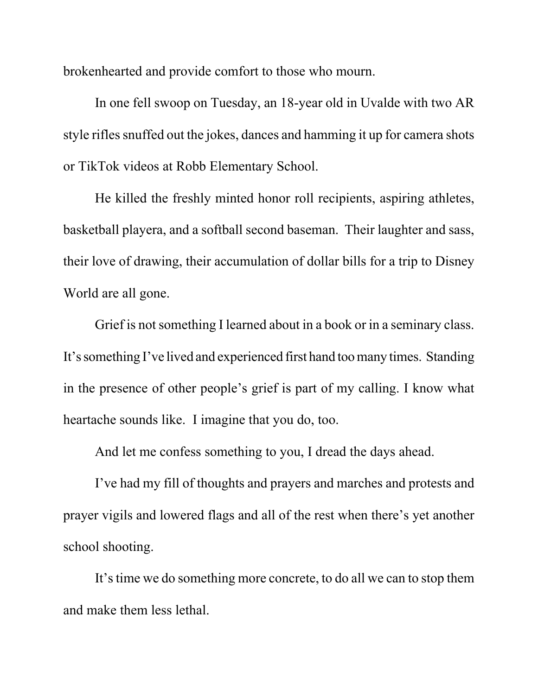brokenhearted and provide comfort to those who mourn.

In one fell swoop on Tuesday, an 18-year old in Uvalde with two AR style rifles snuffed out the jokes, dances and hamming it up for camera shots or TikTok videos at Robb Elementary School.

He killed the freshly minted honor roll recipients, aspiring athletes, basketball playera, and a softball second baseman. Their laughter and sass, their love of drawing, their accumulation of dollar bills for a trip to Disney World are all gone.

Grief is not something I learned about in a book or in a seminary class. It's something I've lived and experienced first hand too many times. Standing in the presence of other people's grief is part of my calling. I know what heartache sounds like. I imagine that you do, too.

And let me confess something to you, I dread the days ahead.

I've had my fill of thoughts and prayers and marches and protests and prayer vigils and lowered flags and all of the rest when there's yet another school shooting.

It's time we do something more concrete, to do all we can to stop them and make them less lethal.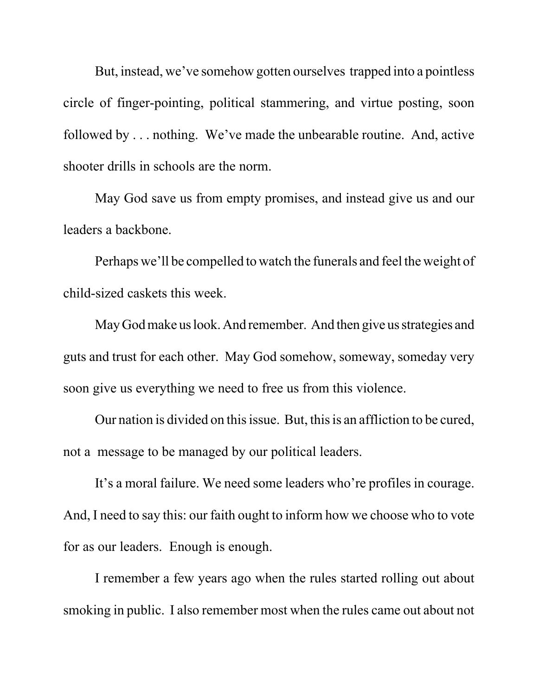But, instead, we've somehow gotten ourselves trapped into a pointless circle of finger-pointing, political stammering, and virtue posting, soon followed by . . . nothing. We've made the unbearable routine. And, active shooter drills in schools are the norm.

May God save us from empty promises, and instead give us and our leaders a backbone.

Perhaps we'll be compelled to watch the funerals and feel the weight of child-sized caskets this week.

May God make us look. And remember. And then give us strategies and guts and trust for each other. May God somehow, someway, someday very soon give us everything we need to free us from this violence.

Our nation is divided on this issue. But, this is an affliction to be cured, not a message to be managed by our political leaders.

It's a moral failure. We need some leaders who're profiles in courage. And, I need to say this: our faith ought to inform how we choose who to vote for as our leaders. Enough is enough.

I remember a few years ago when the rules started rolling out about smoking in public. I also remember most when the rules came out about not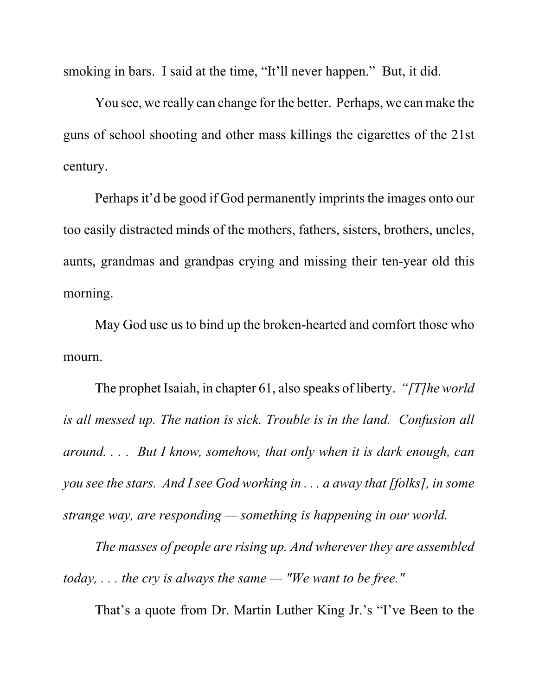smoking in bars. I said at the time, "It'll never happen." But, it did.

You see, we really can change for the better. Perhaps, we can make the guns of school shooting and other mass killings the cigarettes of the 21st century.

Perhaps it'd be good if God permanently imprints the images onto our too easily distracted minds of the mothers, fathers, sisters, brothers, uncles, aunts, grandmas and grandpas crying and missing their ten-year old this morning.

May God use us to bind up the broken-hearted and comfort those who mourn.

The prophet Isaiah, in chapter 61, also speaks of liberty. *"[T]he world is all messed up. The nation is sick. Trouble is in the land. Confusion all around. . . . But I know, somehow, that only when it is dark enough, can you see the stars. And I see God working in . . . a away that [folks], in some strange way, are responding — something is happening in our world.* 

*The masses of people are rising up. And wherever they are assembled today, . . . the cry is always the same — "We want to be free."* 

That's a quote from Dr. Martin Luther King Jr.'s "I've Been to the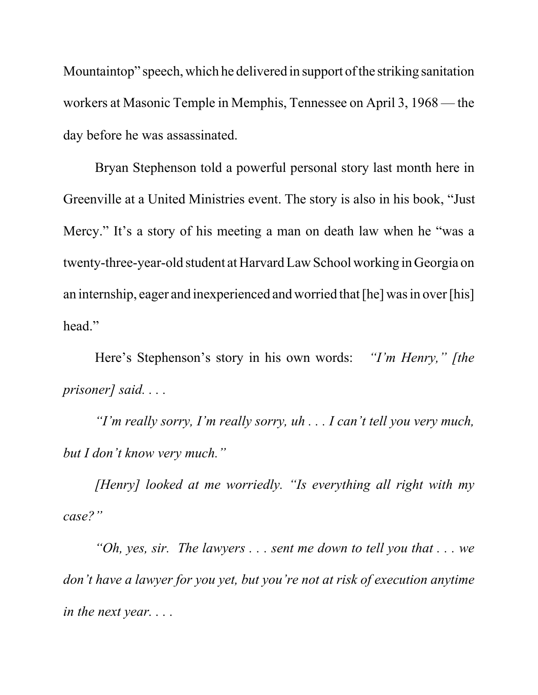Mountaintop" speech, which he delivered in support of the striking sanitation workers at Masonic Temple in Memphis, Tennessee on April 3, 1968 — the day before he was assassinated.

Bryan Stephenson told a powerful personal story last month here in Greenville at a United Ministries event. The story is also in his book, "Just Mercy." It's a story of his meeting a man on death law when he "was a twenty-three-year-old student at Harvard Law School working in Georgia on an internship, eager and inexperienced and worried that [he] was in over [his] head."

Here's Stephenson's story in his own words: *"I'm Henry," [the prisoner] said. . . .* 

*"I'm really sorry, I'm really sorry, uh . . . I can't tell you very much, but I don't know very much."*

*[Henry] looked at me worriedly. "Is everything all right with my case?"*

*"Oh, yes, sir. The lawyers . . . sent me down to tell you that . . . we don't have a lawyer for you yet, but you're not at risk of execution anytime in the next year. . . .*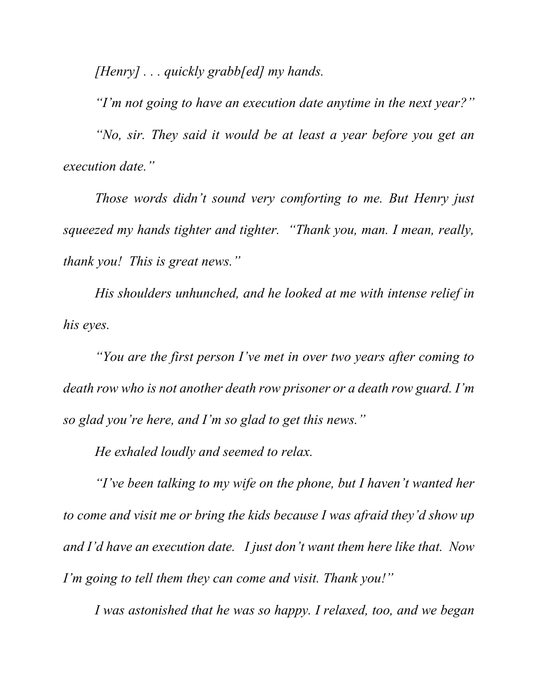*[Henry] . . . quickly grabb[ed] my hands.*

*"I'm not going to have an execution date anytime in the next year?" "No, sir. They said it would be at least a year before you get an execution date."* 

*Those words didn't sound very comforting to me. But Henry just squeezed my hands tighter and tighter. "Thank you, man. I mean, really, thank you! This is great news."*

*His shoulders unhunched, and he looked at me with intense relief in his eyes.*

*"You are the first person I've met in over two years after coming to death row who is not another death row prisoner or a death row guard. I'm so glad you're here, and I'm so glad to get this news."* 

*He exhaled loudly and seemed to relax.*

*"I've been talking to my wife on the phone, but I haven't wanted her to come and visit me or bring the kids because I was afraid they'd show up and I'd have an execution date. I just don't want them here like that. Now I'm going to tell them they can come and visit. Thank you!"*

*I was astonished that he was so happy. I relaxed, too, and we began*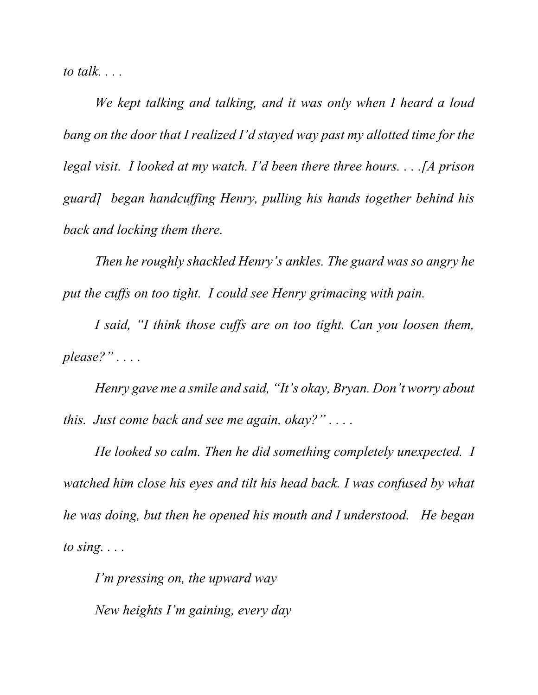*to talk. . . .* 

*We kept talking and talking, and it was only when I heard a loud bang on the door that I realized I'd stayed way past my allotted time for the legal visit. I looked at my watch. I'd been there three hours. . . .[A prison guard] began handcuffing Henry, pulling his hands together behind his back and locking them there.* 

*Then he roughly shackled Henry's ankles. The guard was so angry he put the cuffs on too tight. I could see Henry grimacing with pain.*

*I said, "I think those cuffs are on too tight. Can you loosen them, please?" . . . .* 

*Henry gave me a smile and said, "It's okay, Bryan. Don't worry about this. Just come back and see me again, okay?" . . . .* 

*He looked so calm. Then he did something completely unexpected. I watched him close his eyes and tilt his head back. I was confused by what he was doing, but then he opened his mouth and I understood. He began to sing. . . .*

*I'm pressing on, the upward way New heights I'm gaining, every day*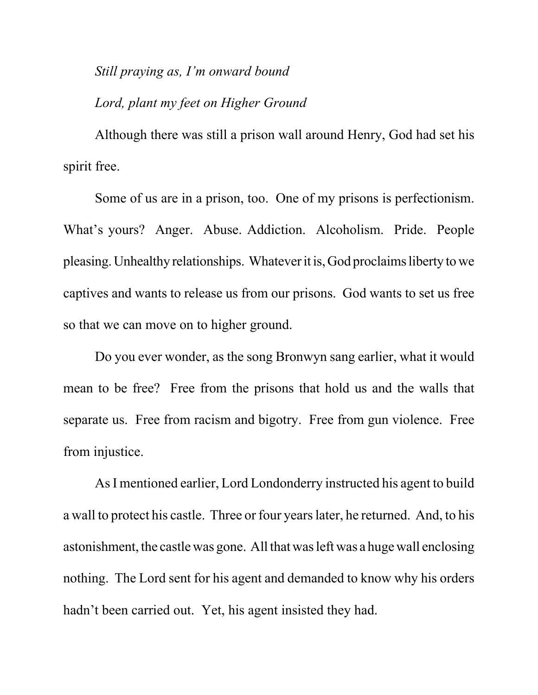## *Still praying as, I'm onward bound*

## *Lord, plant my feet on Higher Ground*

Although there was still a prison wall around Henry, God had set his spirit free.

Some of us are in a prison, too. One of my prisons is perfectionism. What's yours? Anger. Abuse. Addiction. Alcoholism. Pride. People pleasing. Unhealthy relationships. Whatever it is, God proclaims liberty to we captives and wants to release us from our prisons. God wants to set us free so that we can move on to higher ground.

Do you ever wonder, as the song Bronwyn sang earlier, what it would mean to be free? Free from the prisons that hold us and the walls that separate us. Free from racism and bigotry. Free from gun violence. Free from injustice.

As I mentioned earlier, Lord Londonderry instructed his agent to build a wall to protect his castle. Three or four years later, he returned. And, to his astonishment, the castle was gone. All that was left was a huge wall enclosing nothing. The Lord sent for his agent and demanded to know why his orders hadn't been carried out. Yet, his agent insisted they had.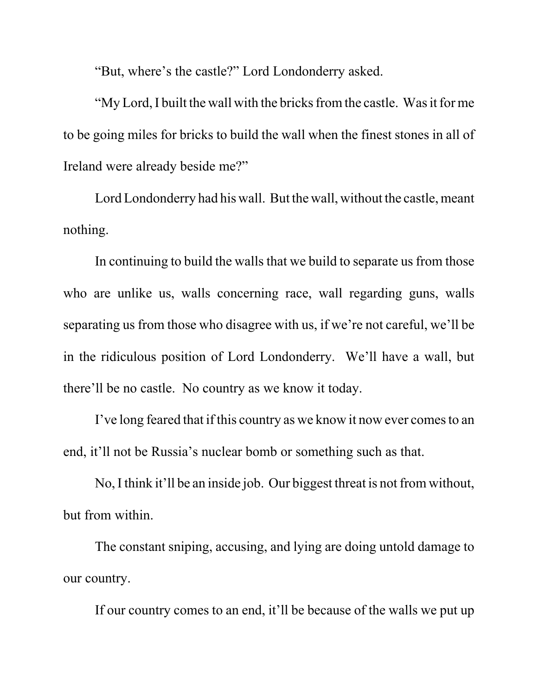"But, where's the castle?" Lord Londonderry asked.

"My Lord, I built the wall with the bricks from the castle. Was it for me to be going miles for bricks to build the wall when the finest stones in all of Ireland were already beside me?"

Lord Londonderry had his wall. But the wall, without the castle, meant nothing.

In continuing to build the walls that we build to separate us from those who are unlike us, walls concerning race, wall regarding guns, walls separating us from those who disagree with us, if we're not careful, we'll be in the ridiculous position of Lord Londonderry. We'll have a wall, but there'll be no castle. No country as we know it today.

I've long feared that if this country as we know it now ever comes to an end, it'll not be Russia's nuclear bomb or something such as that.

No, I think it'll be an inside job. Our biggest threat is not from without, but from within.

The constant sniping, accusing, and lying are doing untold damage to our country.

If our country comes to an end, it'll be because of the walls we put up